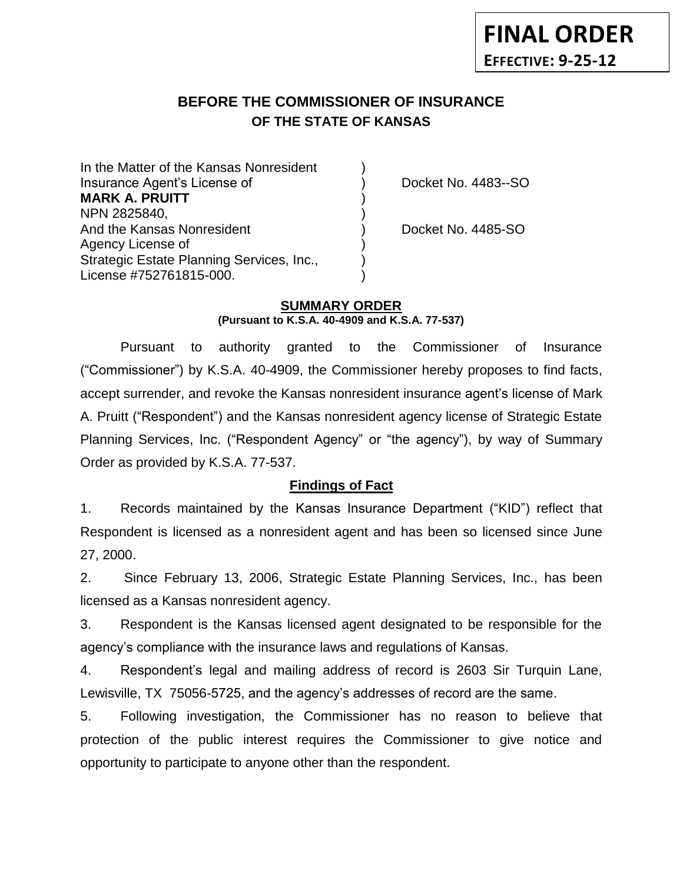# **BEFORE THE COMMISSIONER OF INSURANCE OF THE STATE OF KANSAS**

In the Matter of the Kansas Nonresident Insurance Agent's License of ) Docket No. 4483--SO **MARK A. PRUITT** ) NPN 2825840, And the Kansas Nonresident (and the Kansas Nonresident and the Kansas Nonresident and the United States of Docket No. 4485-SO Agency License of ) Strategic Estate Planning Services, Inc., ) License #752761815-000. )

### **SUMMARY ORDER**

**(Pursuant to K.S.A. 40-4909 and K.S.A. 77-537)**

Pursuant to authority granted to the Commissioner of Insurance ("Commissioner") by K.S.A. 40-4909, the Commissioner hereby proposes to find facts, accept surrender, and revoke the Kansas nonresident insurance agent's license of Mark A. Pruitt ("Respondent") and the Kansas nonresident agency license of Strategic Estate Planning Services, Inc. ("Respondent Agency" or "the agency"), by way of Summary Order as provided by K.S.A. 77-537.

## **Findings of Fact**

1. Records maintained by the Kansas Insurance Department ("KID") reflect that Respondent is licensed as a nonresident agent and has been so licensed since June 27, 2000.

2. Since February 13, 2006, Strategic Estate Planning Services, Inc., has been licensed as a Kansas nonresident agency.

3. Respondent is the Kansas licensed agent designated to be responsible for the agency's compliance with the insurance laws and regulations of Kansas.

4. Respondent's legal and mailing address of record is 2603 Sir Turquin Lane, Lewisville, TX 75056-5725, and the agency's addresses of record are the same.

5. Following investigation, the Commissioner has no reason to believe that protection of the public interest requires the Commissioner to give notice and opportunity to participate to anyone other than the respondent.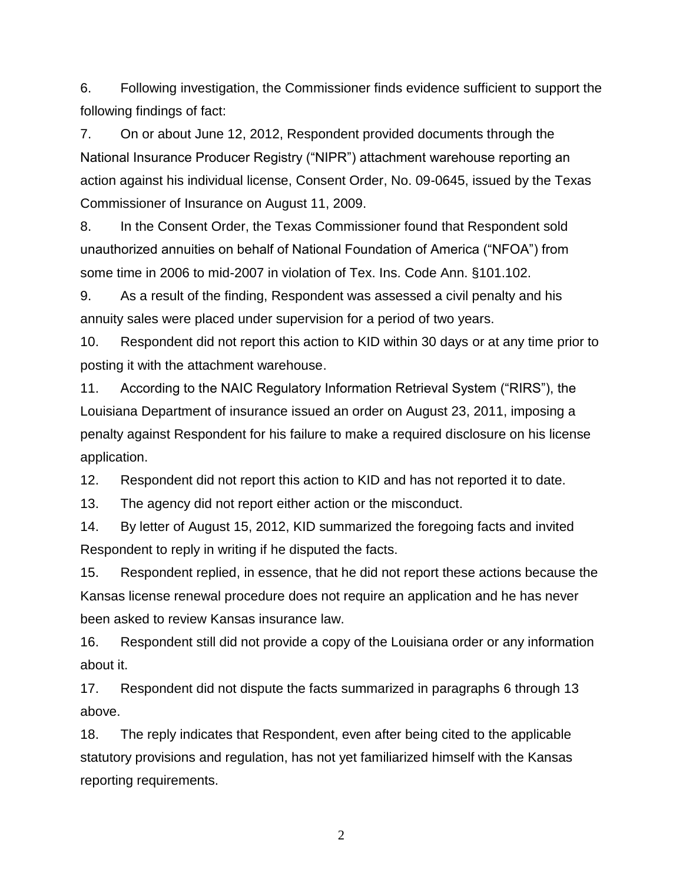6. Following investigation, the Commissioner finds evidence sufficient to support the following findings of fact:

7. On or about June 12, 2012, Respondent provided documents through the National Insurance Producer Registry ("NIPR") attachment warehouse reporting an action against his individual license, Consent Order, No. 09-0645, issued by the Texas Commissioner of Insurance on August 11, 2009.

8. In the Consent Order, the Texas Commissioner found that Respondent sold unauthorized annuities on behalf of National Foundation of America ("NFOA") from some time in 2006 to mid-2007 in violation of Tex. Ins. Code Ann. §101.102.

9. As a result of the finding, Respondent was assessed a civil penalty and his annuity sales were placed under supervision for a period of two years.

10. Respondent did not report this action to KID within 30 days or at any time prior to posting it with the attachment warehouse.

11. According to the NAIC Regulatory Information Retrieval System ("RIRS"), the Louisiana Department of insurance issued an order on August 23, 2011, imposing a penalty against Respondent for his failure to make a required disclosure on his license application.

12. Respondent did not report this action to KID and has not reported it to date.

13. The agency did not report either action or the misconduct.

14. By letter of August 15, 2012, KID summarized the foregoing facts and invited Respondent to reply in writing if he disputed the facts.

15. Respondent replied, in essence, that he did not report these actions because the Kansas license renewal procedure does not require an application and he has never been asked to review Kansas insurance law.

16. Respondent still did not provide a copy of the Louisiana order or any information about it.

17. Respondent did not dispute the facts summarized in paragraphs 6 through 13 above.

18. The reply indicates that Respondent, even after being cited to the applicable statutory provisions and regulation, has not yet familiarized himself with the Kansas reporting requirements.

2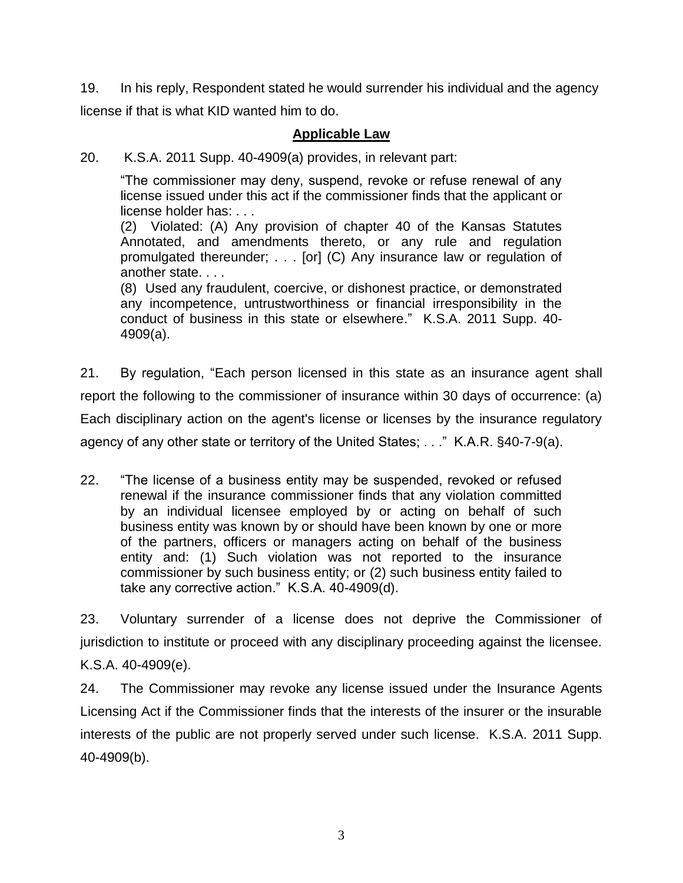19. In his reply, Respondent stated he would surrender his individual and the agency license if that is what KID wanted him to do.

# **Applicable Law**

20. K.S.A. 2011 Supp. 40-4909(a) provides, in relevant part:

"The commissioner may deny, suspend, revoke or refuse renewal of any license issued under this act if the commissioner finds that the applicant or license holder has: . . .

(2) Violated: (A) Any provision of chapter 40 of the Kansas Statutes Annotated, and amendments thereto, or any rule and regulation promulgated thereunder; . . . [or] (C) Any insurance law or regulation of another state. . . .

(8) Used any fraudulent, coercive, or dishonest practice, or demonstrated any incompetence, untrustworthiness or financial irresponsibility in the conduct of business in this state or elsewhere." K.S.A. 2011 Supp. 40- 4909(a).

21. By regulation, "Each person licensed in this state as an insurance agent shall report the following to the commissioner of insurance within 30 days of occurrence: (a) Each disciplinary action on the agent's license or licenses by the insurance regulatory agency of any other state or territory of the United States; . . ." K.A.R. §40-7-9(a).

22. "The license of a business entity may be suspended, revoked or refused renewal if the insurance commissioner finds that any violation committed by an individual licensee employed by or acting on behalf of such business entity was known by or should have been known by one or more of the partners, officers or managers acting on behalf of the business entity and: (1) Such violation was not reported to the insurance commissioner by such business entity; or (2) such business entity failed to take any corrective action." K.S.A. 40-4909(d).

23. Voluntary surrender of a license does not deprive the Commissioner of jurisdiction to institute or proceed with any disciplinary proceeding against the licensee. K.S.A. 40-4909(e).

24. The Commissioner may revoke any license issued under the Insurance Agents Licensing Act if the Commissioner finds that the interests of the insurer or the insurable interests of the public are not properly served under such license. K.S.A. 2011 Supp. 40-4909(b).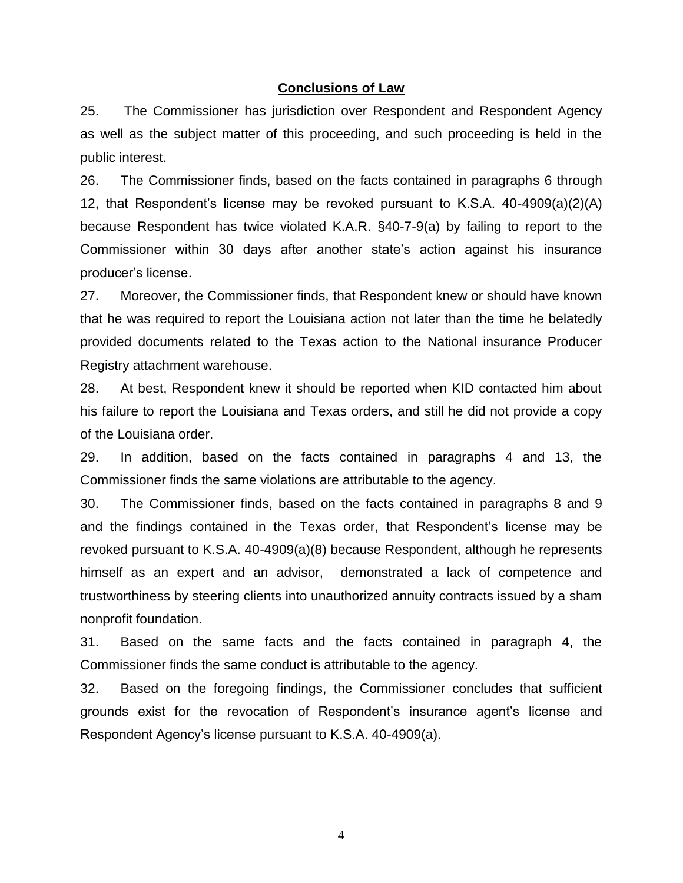#### **Conclusions of Law**

25. The Commissioner has jurisdiction over Respondent and Respondent Agency as well as the subject matter of this proceeding, and such proceeding is held in the public interest.

26. The Commissioner finds, based on the facts contained in paragraphs 6 through 12, that Respondent's license may be revoked pursuant to K.S.A. 40-4909(a)(2)(A) because Respondent has twice violated K.A.R. §40-7-9(a) by failing to report to the Commissioner within 30 days after another state's action against his insurance producer's license.

27. Moreover, the Commissioner finds, that Respondent knew or should have known that he was required to report the Louisiana action not later than the time he belatedly provided documents related to the Texas action to the National insurance Producer Registry attachment warehouse.

28. At best, Respondent knew it should be reported when KID contacted him about his failure to report the Louisiana and Texas orders, and still he did not provide a copy of the Louisiana order.

29. In addition, based on the facts contained in paragraphs 4 and 13, the Commissioner finds the same violations are attributable to the agency.

30. The Commissioner finds, based on the facts contained in paragraphs 8 and 9 and the findings contained in the Texas order, that Respondent's license may be revoked pursuant to K.S.A. 40-4909(a)(8) because Respondent, although he represents himself as an expert and an advisor, demonstrated a lack of competence and trustworthiness by steering clients into unauthorized annuity contracts issued by a sham nonprofit foundation.

31. Based on the same facts and the facts contained in paragraph 4, the Commissioner finds the same conduct is attributable to the agency.

32. Based on the foregoing findings, the Commissioner concludes that sufficient grounds exist for the revocation of Respondent's insurance agent's license and Respondent Agency's license pursuant to K.S.A. 40-4909(a).

4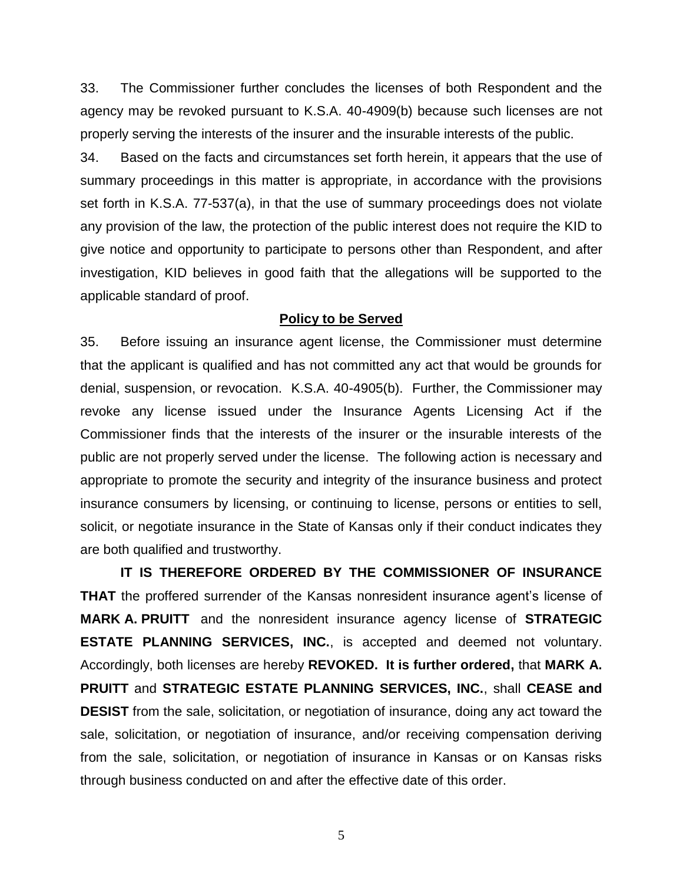33. The Commissioner further concludes the licenses of both Respondent and the agency may be revoked pursuant to K.S.A. 40-4909(b) because such licenses are not properly serving the interests of the insurer and the insurable interests of the public.

34. Based on the facts and circumstances set forth herein, it appears that the use of summary proceedings in this matter is appropriate, in accordance with the provisions set forth in K.S.A. 77-537(a), in that the use of summary proceedings does not violate any provision of the law, the protection of the public interest does not require the KID to give notice and opportunity to participate to persons other than Respondent, and after investigation, KID believes in good faith that the allegations will be supported to the applicable standard of proof.

### **Policy to be Served**

35. Before issuing an insurance agent license, the Commissioner must determine that the applicant is qualified and has not committed any act that would be grounds for denial, suspension, or revocation. K.S.A. 40-4905(b). Further, the Commissioner may revoke any license issued under the Insurance Agents Licensing Act if the Commissioner finds that the interests of the insurer or the insurable interests of the public are not properly served under the license. The following action is necessary and appropriate to promote the security and integrity of the insurance business and protect insurance consumers by licensing, or continuing to license, persons or entities to sell, solicit, or negotiate insurance in the State of Kansas only if their conduct indicates they are both qualified and trustworthy.

**IT IS THEREFORE ORDERED BY THE COMMISSIONER OF INSURANCE THAT** the proffered surrender of the Kansas nonresident insurance agent's license of **MARK A. PRUITT** and the nonresident insurance agency license of **STRATEGIC ESTATE PLANNING SERVICES, INC.**, is accepted and deemed not voluntary. Accordingly, both licenses are hereby **REVOKED. It is further ordered,** that **MARK A. PRUITT** and **STRATEGIC ESTATE PLANNING SERVICES, INC.**, shall **CEASE and DESIST** from the sale, solicitation, or negotiation of insurance, doing any act toward the sale, solicitation, or negotiation of insurance, and/or receiving compensation deriving from the sale, solicitation, or negotiation of insurance in Kansas or on Kansas risks through business conducted on and after the effective date of this order.

5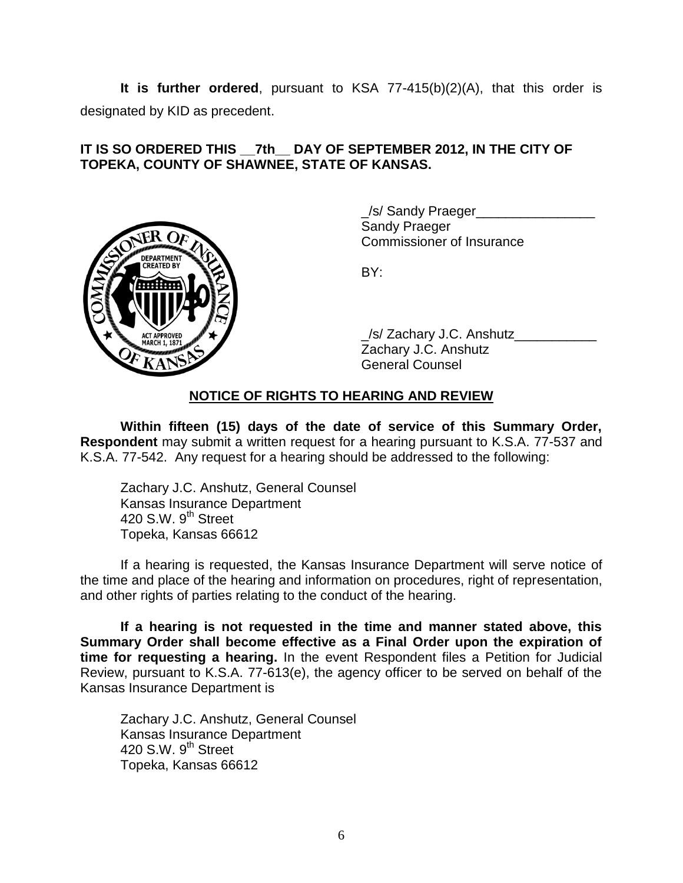**It is further ordered**, pursuant to KSA 77-415(b)(2)(A), that this order is designated by KID as precedent.

## **IT IS SO ORDERED THIS \_\_7th\_\_ DAY OF SEPTEMBER 2012, IN THE CITY OF TOPEKA, COUNTY OF SHAWNEE, STATE OF KANSAS.**



/s/ Sandy Praeger Sandy Praeger Commissioner of Insurance

BY:

\_/s/ Zachary J.C. Anshutz\_\_\_\_\_\_\_\_\_\_\_ Zachary J.C. Anshutz General Counsel

### **NOTICE OF RIGHTS TO HEARING AND REVIEW**

**Within fifteen (15) days of the date of service of this Summary Order, Respondent** may submit a written request for a hearing pursuant to K.S.A. 77-537 and K.S.A. 77-542. Any request for a hearing should be addressed to the following:

Zachary J.C. Anshutz, General Counsel Kansas Insurance Department 420 S.W. 9<sup>th</sup> Street Topeka, Kansas 66612

If a hearing is requested, the Kansas Insurance Department will serve notice of the time and place of the hearing and information on procedures, right of representation, and other rights of parties relating to the conduct of the hearing.

**If a hearing is not requested in the time and manner stated above, this Summary Order shall become effective as a Final Order upon the expiration of time for requesting a hearing.** In the event Respondent files a Petition for Judicial Review, pursuant to K.S.A. 77-613(e), the agency officer to be served on behalf of the Kansas Insurance Department is

Zachary J.C. Anshutz, General Counsel Kansas Insurance Department 420 S.W. 9<sup>th</sup> Street Topeka, Kansas 66612